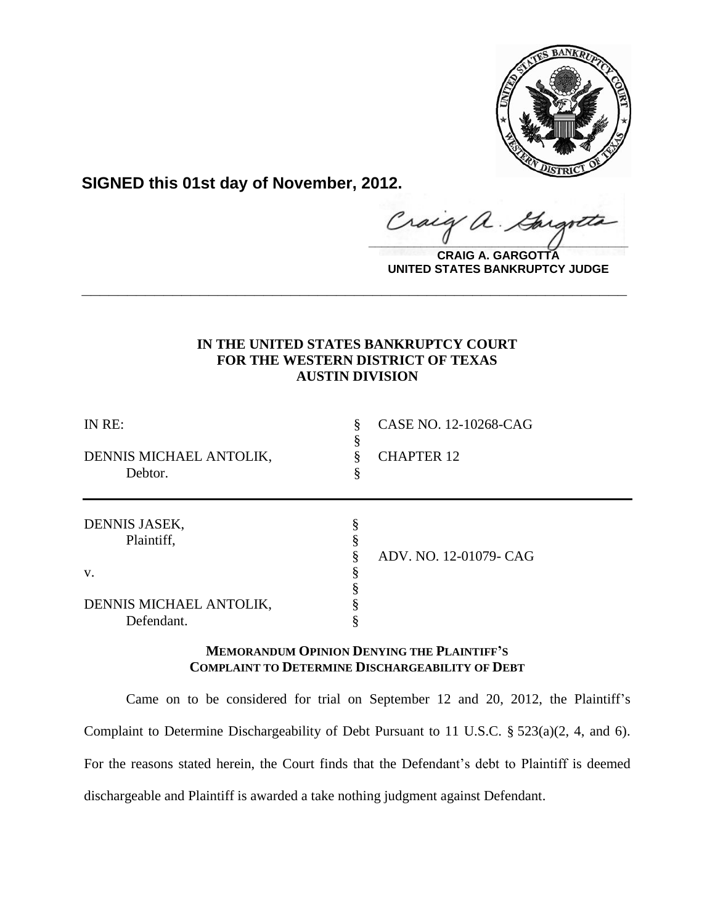

**SIGNED this 01st day of November, 2012.**

Craig a.

**CRAIG A. GARGOTTA UNITED STATES BANKRUPTCY JUDGE**

# **IN THE UNITED STATES BANKRUPTCY COURT FOR THE WESTERN DISTRICT OF TEXAS AUSTIN DIVISION**

**\_\_\_\_\_\_\_\_\_\_\_\_\_\_\_\_\_\_\_\_\_\_\_\_\_\_\_\_\_\_\_\_\_\_\_\_\_\_\_\_\_\_\_\_\_\_\_\_\_\_\_\_\_\_\_\_\_\_\_\_**

| IN RE:<br>DENNIS MICHAEL ANTOLIK,<br>Debtor. | CASE NO. 12-10268-CAG<br><b>CHAPTER 12</b> |
|----------------------------------------------|--------------------------------------------|
| DENNIS JASEK,<br>Plaintiff,                  | ADV. NO. 12-01079- CAG                     |
| V.                                           |                                            |
| DENNIS MICHAEL ANTOLIK,<br>Defendant.        |                                            |

# **MEMORANDUM OPINION DENYING THE PLAINTIFF'S COMPLAINT TO DETERMINE DISCHARGEABILITY OF DEBT**

Came on to be considered for trial on September 12 and 20, 2012, the Plaintiff's Complaint to Determine Dischargeability of Debt Pursuant to 11 U.S.C. § 523(a)(2, 4, and 6). For the reasons stated herein, the Court finds that the Defendant's debt to Plaintiff is deemed dischargeable and Plaintiff is awarded a take nothing judgment against Defendant.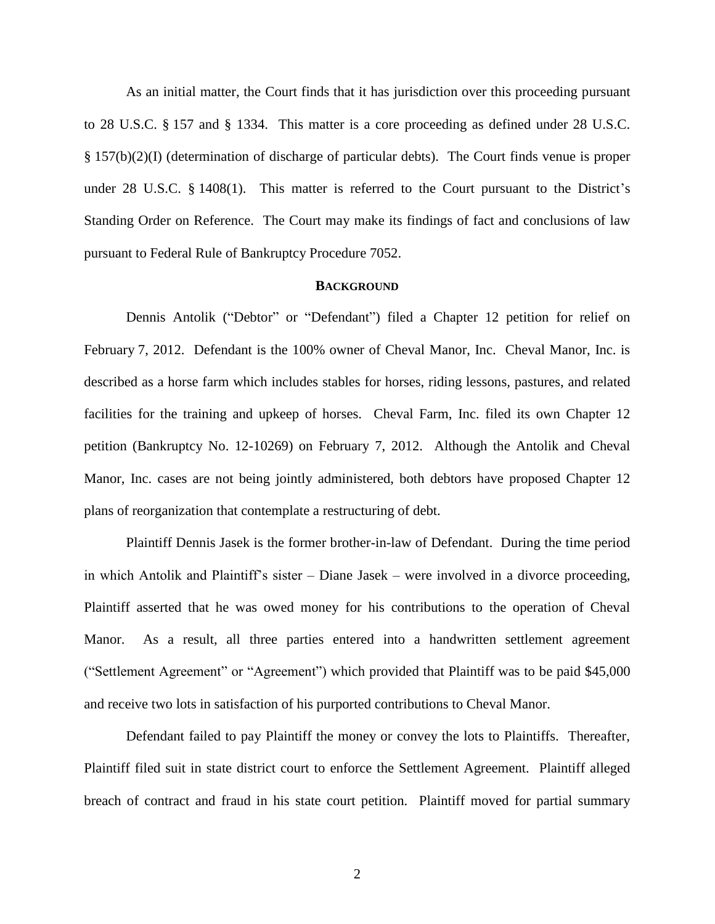As an initial matter, the Court finds that it has jurisdiction over this proceeding pursuant to 28 U.S.C. § 157 and § 1334. This matter is a core proceeding as defined under 28 U.S.C. § 157(b)(2)(I) (determination of discharge of particular debts). The Court finds venue is proper under 28 U.S.C. § 1408(1). This matter is referred to the Court pursuant to the District's Standing Order on Reference. The Court may make its findings of fact and conclusions of law pursuant to Federal Rule of Bankruptcy Procedure 7052.

#### **BACKGROUND**

Dennis Antolik ("Debtor" or "Defendant") filed a Chapter 12 petition for relief on February 7, 2012. Defendant is the 100% owner of Cheval Manor, Inc. Cheval Manor, Inc. is described as a horse farm which includes stables for horses, riding lessons, pastures, and related facilities for the training and upkeep of horses. Cheval Farm, Inc. filed its own Chapter 12 petition (Bankruptcy No. 12-10269) on February 7, 2012. Although the Antolik and Cheval Manor, Inc. cases are not being jointly administered, both debtors have proposed Chapter 12 plans of reorganization that contemplate a restructuring of debt.

Plaintiff Dennis Jasek is the former brother-in-law of Defendant. During the time period in which Antolik and Plaintiff's sister – Diane Jasek – were involved in a divorce proceeding, Plaintiff asserted that he was owed money for his contributions to the operation of Cheval Manor. As a result, all three parties entered into a handwritten settlement agreement ("Settlement Agreement" or "Agreement") which provided that Plaintiff was to be paid \$45,000 and receive two lots in satisfaction of his purported contributions to Cheval Manor.

Defendant failed to pay Plaintiff the money or convey the lots to Plaintiffs. Thereafter, Plaintiff filed suit in state district court to enforce the Settlement Agreement. Plaintiff alleged breach of contract and fraud in his state court petition. Plaintiff moved for partial summary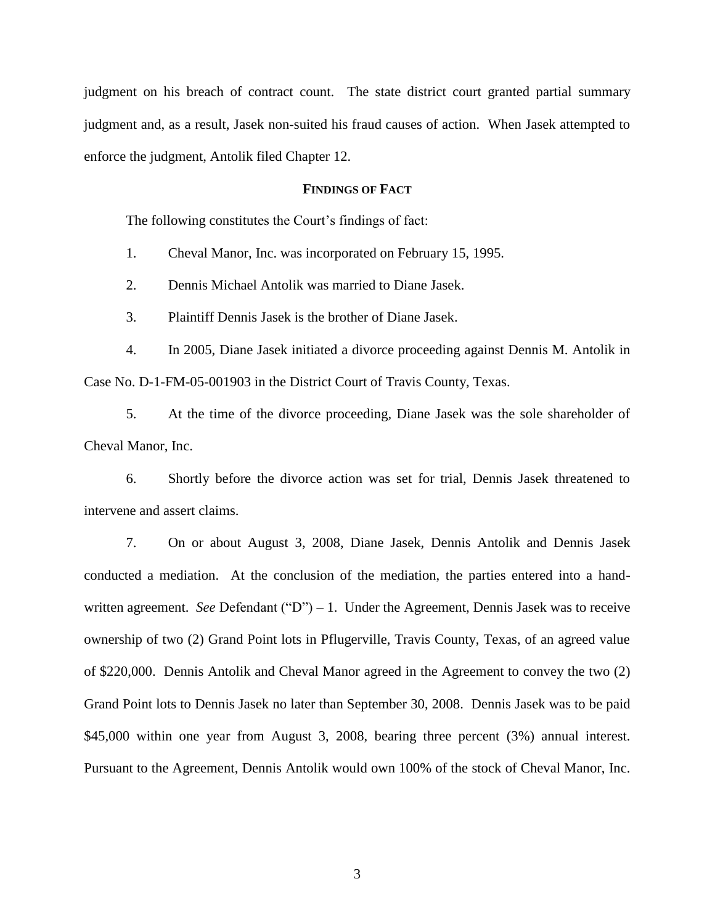judgment on his breach of contract count. The state district court granted partial summary judgment and, as a result, Jasek non-suited his fraud causes of action. When Jasek attempted to enforce the judgment, Antolik filed Chapter 12.

## **FINDINGS OF FACT**

The following constitutes the Court's findings of fact:

1. Cheval Manor, Inc. was incorporated on February 15, 1995.

2. Dennis Michael Antolik was married to Diane Jasek.

3. Plaintiff Dennis Jasek is the brother of Diane Jasek.

4. In 2005, Diane Jasek initiated a divorce proceeding against Dennis M. Antolik in Case No. D-1-FM-05-001903 in the District Court of Travis County, Texas.

5. At the time of the divorce proceeding, Diane Jasek was the sole shareholder of Cheval Manor, Inc.

6. Shortly before the divorce action was set for trial, Dennis Jasek threatened to intervene and assert claims.

7. On or about August 3, 2008, Diane Jasek, Dennis Antolik and Dennis Jasek conducted a mediation. At the conclusion of the mediation, the parties entered into a handwritten agreement. *See* Defendant ("D") – 1. Under the Agreement, Dennis Jasek was to receive ownership of two (2) Grand Point lots in Pflugerville, Travis County, Texas, of an agreed value of \$220,000. Dennis Antolik and Cheval Manor agreed in the Agreement to convey the two (2) Grand Point lots to Dennis Jasek no later than September 30, 2008. Dennis Jasek was to be paid \$45,000 within one year from August 3, 2008, bearing three percent (3%) annual interest. Pursuant to the Agreement, Dennis Antolik would own 100% of the stock of Cheval Manor, Inc.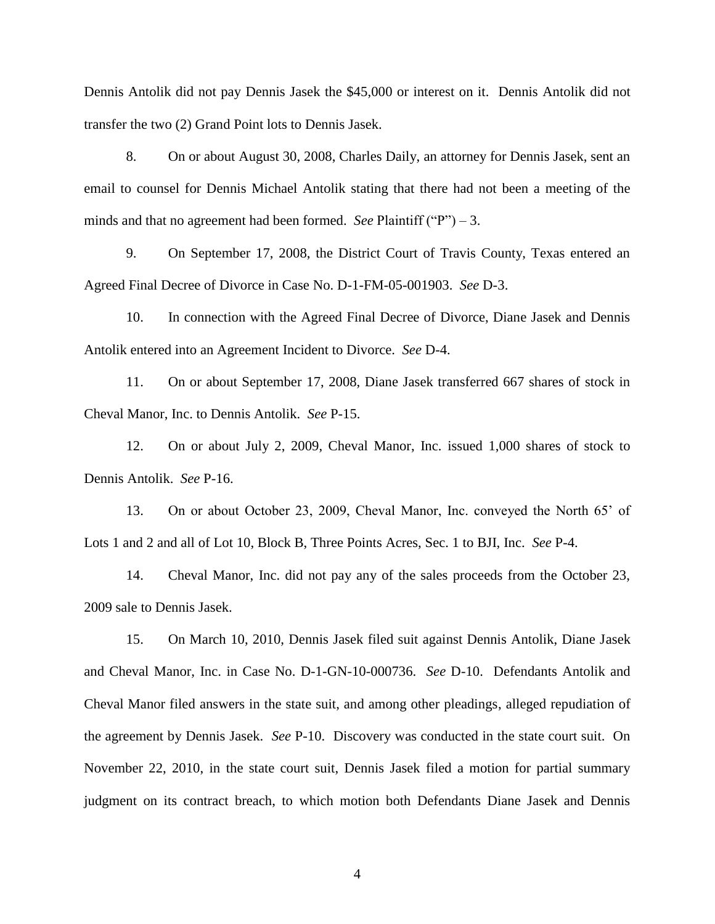Dennis Antolik did not pay Dennis Jasek the \$45,000 or interest on it. Dennis Antolik did not transfer the two (2) Grand Point lots to Dennis Jasek.

8. On or about August 30, 2008, Charles Daily, an attorney for Dennis Jasek, sent an email to counsel for Dennis Michael Antolik stating that there had not been a meeting of the minds and that no agreement had been formed. *See* Plaintiff ("P") – 3.

9. On September 17, 2008, the District Court of Travis County, Texas entered an Agreed Final Decree of Divorce in Case No. D-1-FM-05-001903. *See* D-3.

10. In connection with the Agreed Final Decree of Divorce, Diane Jasek and Dennis Antolik entered into an Agreement Incident to Divorce. *See* D-4.

11. On or about September 17, 2008, Diane Jasek transferred 667 shares of stock in Cheval Manor, Inc. to Dennis Antolik. *See* P-15.

12. On or about July 2, 2009, Cheval Manor, Inc. issued 1,000 shares of stock to Dennis Antolik. *See* P-16.

13. On or about October 23, 2009, Cheval Manor, Inc. conveyed the North 65' of Lots 1 and 2 and all of Lot 10, Block B, Three Points Acres, Sec. 1 to BJI, Inc. *See* P-4.

14. Cheval Manor, Inc. did not pay any of the sales proceeds from the October 23, 2009 sale to Dennis Jasek.

15. On March 10, 2010, Dennis Jasek filed suit against Dennis Antolik, Diane Jasek and Cheval Manor, Inc. in Case No. D-1-GN-10-000736. *See* D-10. Defendants Antolik and Cheval Manor filed answers in the state suit, and among other pleadings, alleged repudiation of the agreement by Dennis Jasek. *See* P-10. Discovery was conducted in the state court suit. On November 22, 2010, in the state court suit, Dennis Jasek filed a motion for partial summary judgment on its contract breach, to which motion both Defendants Diane Jasek and Dennis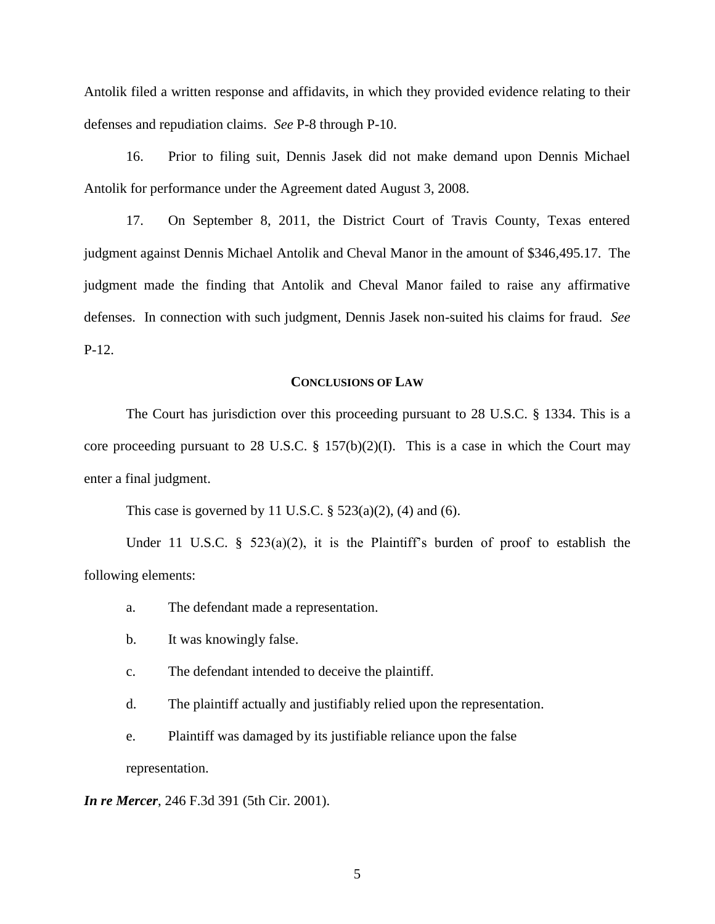Antolik filed a written response and affidavits, in which they provided evidence relating to their defenses and repudiation claims. *See* P-8 through P-10.

16. Prior to filing suit, Dennis Jasek did not make demand upon Dennis Michael Antolik for performance under the Agreement dated August 3, 2008.

17. On September 8, 2011, the District Court of Travis County, Texas entered judgment against Dennis Michael Antolik and Cheval Manor in the amount of \$346,495.17. The judgment made the finding that Antolik and Cheval Manor failed to raise any affirmative defenses. In connection with such judgment, Dennis Jasek non-suited his claims for fraud. *See* P-12.

### **CONCLUSIONS OF LAW**

The Court has jurisdiction over this proceeding pursuant to 28 U.S.C. § 1334. This is a core proceeding pursuant to 28 U.S.C.  $\S$  157(b)(2)(I). This is a case in which the Court may enter a final judgment.

This case is governed by 11 U.S.C.  $\S$  523(a)(2), (4) and (6).

Under 11 U.S.C.  $\S$  523(a)(2), it is the Plaintiff's burden of proof to establish the following elements:

- a. The defendant made a representation.
- b. It was knowingly false.
- c. The defendant intended to deceive the plaintiff.
- d. The plaintiff actually and justifiably relied upon the representation.
- e. Plaintiff was damaged by its justifiable reliance upon the false representation.

*In re Mercer*, 246 F.3d 391 (5th Cir. 2001).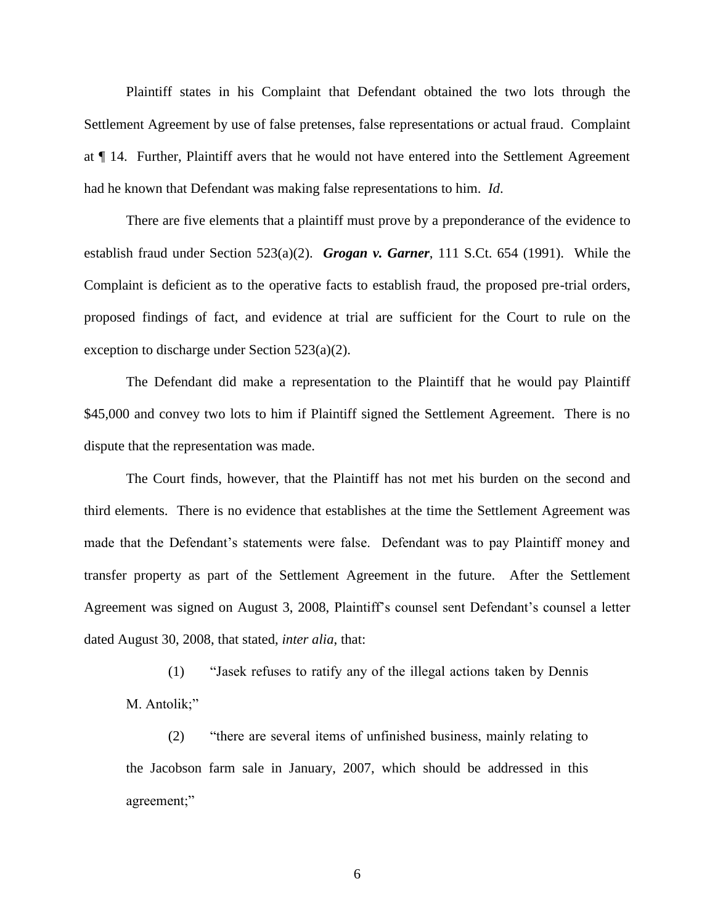Plaintiff states in his Complaint that Defendant obtained the two lots through the Settlement Agreement by use of false pretenses, false representations or actual fraud. Complaint at ¶ 14. Further, Plaintiff avers that he would not have entered into the Settlement Agreement had he known that Defendant was making false representations to him. *Id*.

There are five elements that a plaintiff must prove by a preponderance of the evidence to establish fraud under Section 523(a)(2). *Grogan v. Garner*, 111 S.Ct. 654 (1991). While the Complaint is deficient as to the operative facts to establish fraud, the proposed pre-trial orders, proposed findings of fact, and evidence at trial are sufficient for the Court to rule on the exception to discharge under Section 523(a)(2).

The Defendant did make a representation to the Plaintiff that he would pay Plaintiff \$45,000 and convey two lots to him if Plaintiff signed the Settlement Agreement. There is no dispute that the representation was made.

The Court finds, however, that the Plaintiff has not met his burden on the second and third elements. There is no evidence that establishes at the time the Settlement Agreement was made that the Defendant's statements were false. Defendant was to pay Plaintiff money and transfer property as part of the Settlement Agreement in the future. After the Settlement Agreement was signed on August 3, 2008, Plaintiff's counsel sent Defendant's counsel a letter dated August 30, 2008, that stated, *inter alia*, that:

(1) "Jasek refuses to ratify any of the illegal actions taken by Dennis M. Antolik;"

(2) "there are several items of unfinished business, mainly relating to the Jacobson farm sale in January, 2007, which should be addressed in this agreement;"

6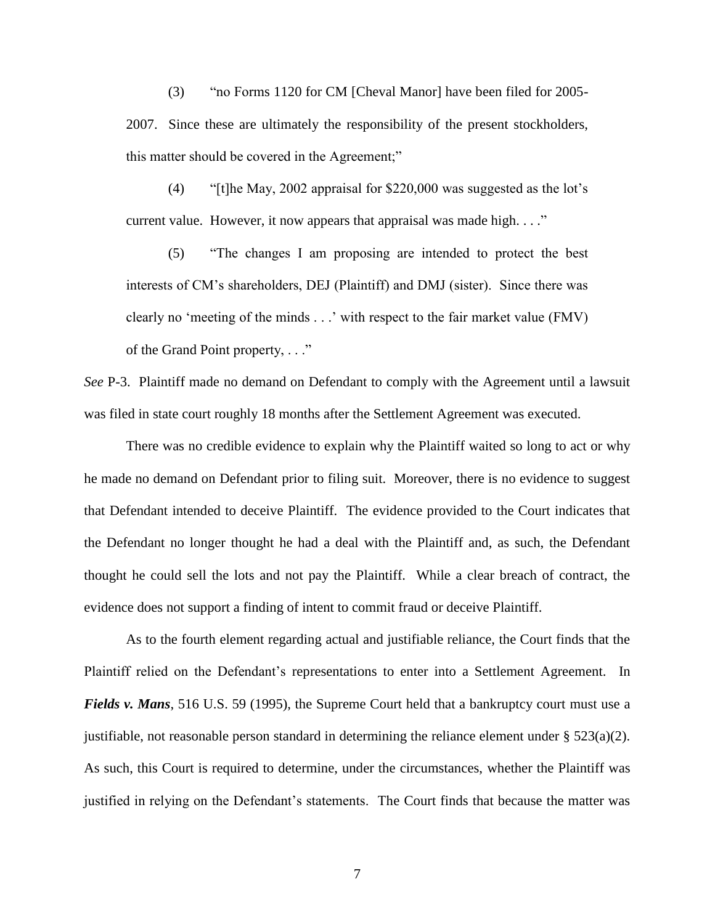(3) "no Forms 1120 for CM [Cheval Manor] have been filed for 2005- 2007. Since these are ultimately the responsibility of the present stockholders, this matter should be covered in the Agreement;"

(4) " $[t]$ he May, 2002 appraisal for \$220,000 was suggested as the lot's current value. However, it now appears that appraisal was made high. . . ."

(5) "The changes I am proposing are intended to protect the best interests of CM's shareholders, DEJ (Plaintiff) and DMJ (sister). Since there was clearly no 'meeting of the minds . . .' with respect to the fair market value (FMV) of the Grand Point property, . . ."

*See* P-3. Plaintiff made no demand on Defendant to comply with the Agreement until a lawsuit was filed in state court roughly 18 months after the Settlement Agreement was executed.

There was no credible evidence to explain why the Plaintiff waited so long to act or why he made no demand on Defendant prior to filing suit. Moreover, there is no evidence to suggest that Defendant intended to deceive Plaintiff. The evidence provided to the Court indicates that the Defendant no longer thought he had a deal with the Plaintiff and, as such, the Defendant thought he could sell the lots and not pay the Plaintiff. While a clear breach of contract, the evidence does not support a finding of intent to commit fraud or deceive Plaintiff.

As to the fourth element regarding actual and justifiable reliance, the Court finds that the Plaintiff relied on the Defendant's representations to enter into a Settlement Agreement. In *Fields v. Mans*, 516 U.S. 59 (1995), the Supreme Court held that a bankruptcy court must use a justifiable, not reasonable person standard in determining the reliance element under  $\S 523(a)(2)$ . As such, this Court is required to determine, under the circumstances, whether the Plaintiff was justified in relying on the Defendant's statements. The Court finds that because the matter was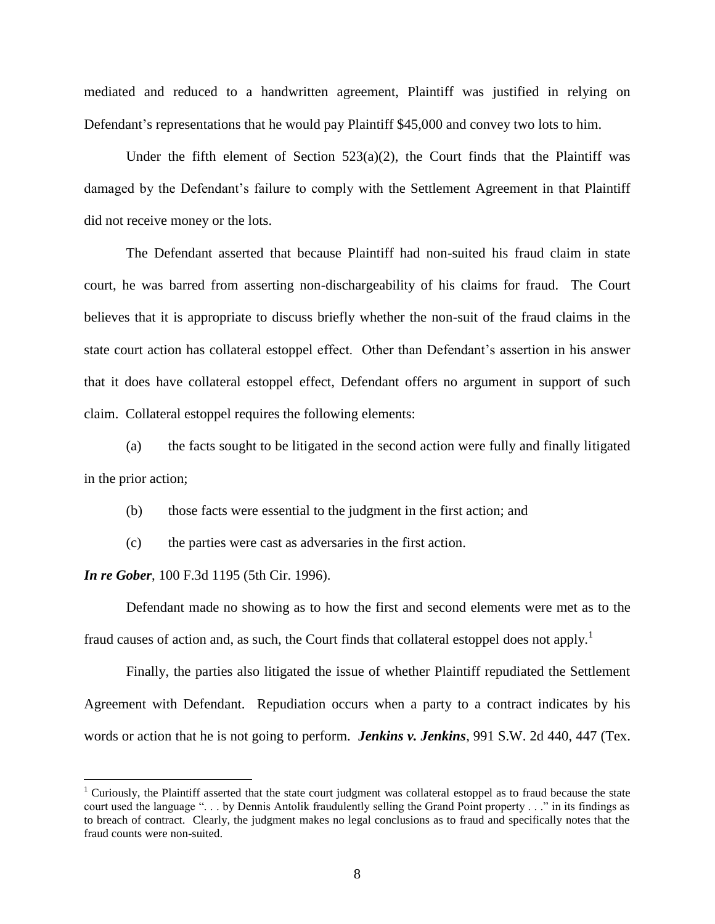mediated and reduced to a handwritten agreement, Plaintiff was justified in relying on Defendant's representations that he would pay Plaintiff \$45,000 and convey two lots to him.

Under the fifth element of Section  $523(a)(2)$ , the Court finds that the Plaintiff was damaged by the Defendant's failure to comply with the Settlement Agreement in that Plaintiff did not receive money or the lots.

The Defendant asserted that because Plaintiff had non-suited his fraud claim in state court, he was barred from asserting non-dischargeability of his claims for fraud. The Court believes that it is appropriate to discuss briefly whether the non-suit of the fraud claims in the state court action has collateral estoppel effect. Other than Defendant's assertion in his answer that it does have collateral estoppel effect, Defendant offers no argument in support of such claim. Collateral estoppel requires the following elements:

(a) the facts sought to be litigated in the second action were fully and finally litigated in the prior action;

(b) those facts were essential to the judgment in the first action; and

(c) the parties were cast as adversaries in the first action.

*In re Gober*, 100 F.3d 1195 (5th Cir. 1996).

 $\overline{a}$ 

Defendant made no showing as to how the first and second elements were met as to the fraud causes of action and, as such, the Court finds that collateral estoppel does not apply.<sup>1</sup>

Finally, the parties also litigated the issue of whether Plaintiff repudiated the Settlement Agreement with Defendant. Repudiation occurs when a party to a contract indicates by his words or action that he is not going to perform. *Jenkins v. Jenkins*, 991 S.W. 2d 440, 447 (Tex.

<sup>&</sup>lt;sup>1</sup> Curiously, the Plaintiff asserted that the state court judgment was collateral estoppel as to fraud because the state court used the language ". . . by Dennis Antolik fraudulently selling the Grand Point property . . ." in its findings as to breach of contract. Clearly, the judgment makes no legal conclusions as to fraud and specifically notes that the fraud counts were non-suited.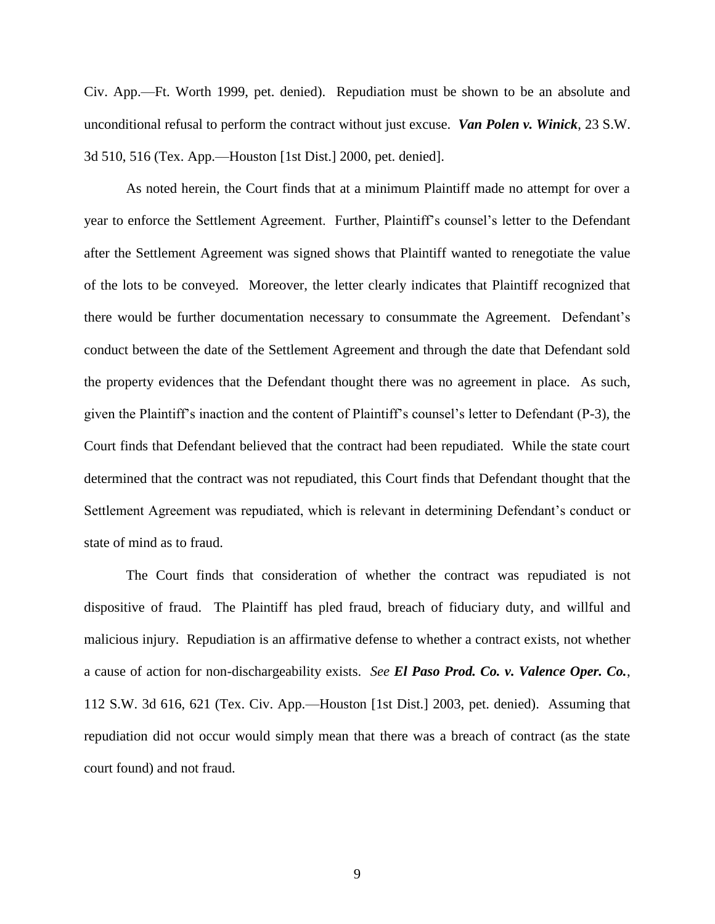Civ. App.—Ft. Worth 1999, pet. denied). Repudiation must be shown to be an absolute and unconditional refusal to perform the contract without just excuse. *Van Polen v. Winick*, 23 S.W. 3d 510, 516 (Tex. App.—Houston [1st Dist.] 2000, pet. denied].

As noted herein, the Court finds that at a minimum Plaintiff made no attempt for over a year to enforce the Settlement Agreement. Further, Plaintiff's counsel's letter to the Defendant after the Settlement Agreement was signed shows that Plaintiff wanted to renegotiate the value of the lots to be conveyed. Moreover, the letter clearly indicates that Plaintiff recognized that there would be further documentation necessary to consummate the Agreement. Defendant's conduct between the date of the Settlement Agreement and through the date that Defendant sold the property evidences that the Defendant thought there was no agreement in place. As such, given the Plaintiff's inaction and the content of Plaintiff's counsel's letter to Defendant (P-3), the Court finds that Defendant believed that the contract had been repudiated. While the state court determined that the contract was not repudiated, this Court finds that Defendant thought that the Settlement Agreement was repudiated, which is relevant in determining Defendant's conduct or state of mind as to fraud.

The Court finds that consideration of whether the contract was repudiated is not dispositive of fraud. The Plaintiff has pled fraud, breach of fiduciary duty, and willful and malicious injury. Repudiation is an affirmative defense to whether a contract exists, not whether a cause of action for non-dischargeability exists. *See El Paso Prod. Co. v. Valence Oper. Co.*, 112 S.W. 3d 616, 621 (Tex. Civ. App.—Houston [1st Dist.] 2003, pet. denied). Assuming that repudiation did not occur would simply mean that there was a breach of contract (as the state court found) and not fraud.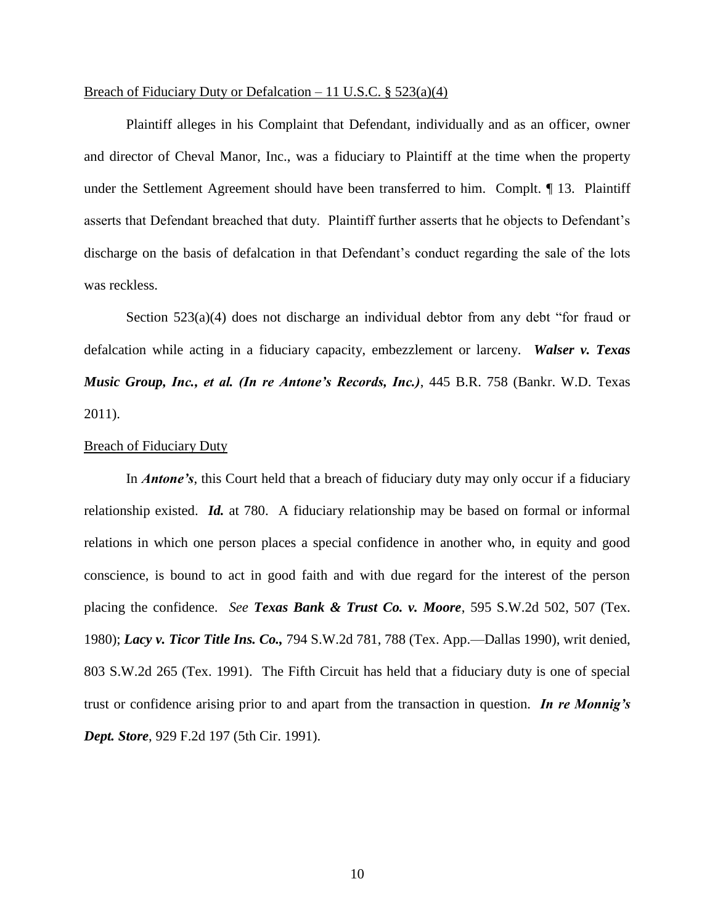## Breach of Fiduciary Duty or Defalcation – 11 U.S.C.  $\S$  523(a)(4)

Plaintiff alleges in his Complaint that Defendant, individually and as an officer, owner and director of Cheval Manor, Inc., was a fiduciary to Plaintiff at the time when the property under the Settlement Agreement should have been transferred to him. Complt. ¶ 13. Plaintiff asserts that Defendant breached that duty. Plaintiff further asserts that he objects to Defendant's discharge on the basis of defalcation in that Defendant's conduct regarding the sale of the lots was reckless.

Section 523(a)(4) does not discharge an individual debtor from any debt "for fraud or defalcation while acting in a fiduciary capacity, embezzlement or larceny. *Walser v. Texas Music Group, Inc., et al. (In re Antone's Records, Inc.)*, 445 B.R. 758 (Bankr. W.D. Texas 2011).

#### Breach of Fiduciary Duty

In *Antone's*, this Court held that a breach of fiduciary duty may only occur if a fiduciary relationship existed. *Id.* at 780. A fiduciary relationship may be based on formal or informal relations in which one person places a special confidence in another who, in equity and good conscience, is bound to act in good faith and with due regard for the interest of the person placing the confidence. *See Texas Bank & Trust Co. v. Moore*, 595 S.W.2d 502, 507 (Tex. 1980); *Lacy v. Ticor Title Ins. Co.,* 794 S.W.2d 781, 788 (Tex. App.—Dallas 1990), writ denied, 803 S.W.2d 265 (Tex. 1991). The Fifth Circuit has held that a fiduciary duty is one of special trust or confidence arising prior to and apart from the transaction in question. *In re Monnig's Dept. Store*, 929 F.2d 197 (5th Cir. 1991).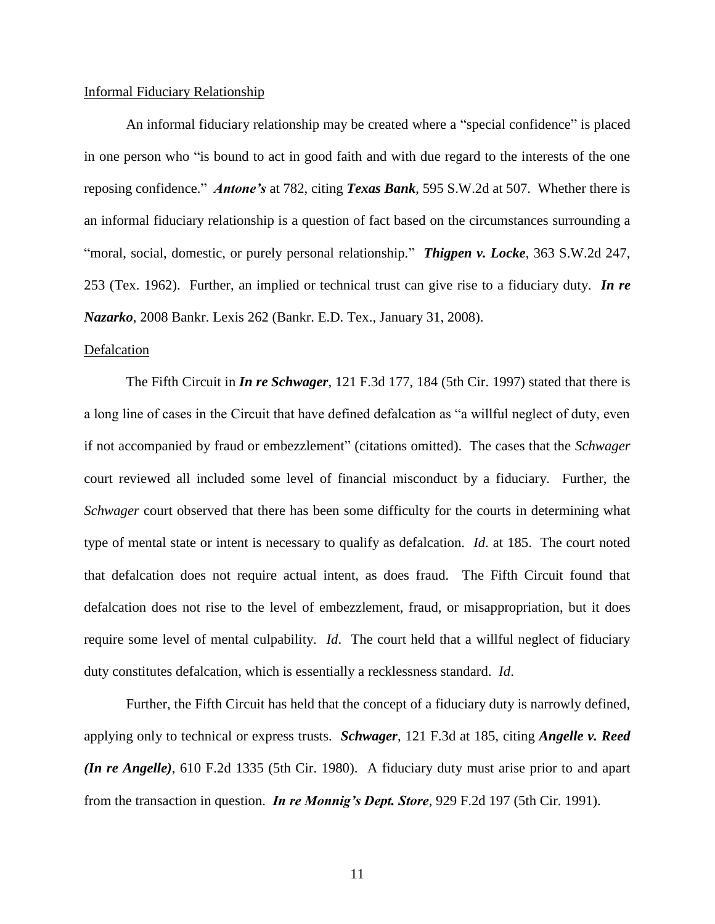#### Informal Fiduciary Relationship

An informal fiduciary relationship may be created where a "special confidence" is placed in one person who "is bound to act in good faith and with due regard to the interests of the one reposing confidence." *Antone's* at 782, citing *Texas Bank*, 595 S.W.2d at 507. Whether there is an informal fiduciary relationship is a question of fact based on the circumstances surrounding a "moral, social, domestic, or purely personal relationship." *Thigpen v. Locke*, 363 S.W.2d 247, 253 (Tex. 1962). Further, an implied or technical trust can give rise to a fiduciary duty. *In re Nazarko*, 2008 Bankr. Lexis 262 (Bankr. E.D. Tex., January 31, 2008).

#### Defalcation

The Fifth Circuit in *In re Schwager*, 121 F.3d 177, 184 (5th Cir. 1997) stated that there is a long line of cases in the Circuit that have defined defalcation as "a willful neglect of duty, even if not accompanied by fraud or embezzlement" (citations omitted). The cases that the *Schwager*  court reviewed all included some level of financial misconduct by a fiduciary. Further, the *Schwager* court observed that there has been some difficulty for the courts in determining what type of mental state or intent is necessary to qualify as defalcation. *Id*. at 185. The court noted that defalcation does not require actual intent, as does fraud. The Fifth Circuit found that defalcation does not rise to the level of embezzlement, fraud, or misappropriation, but it does require some level of mental culpability. *Id*. The court held that a willful neglect of fiduciary duty constitutes defalcation, which is essentially a recklessness standard. *Id*.

Further, the Fifth Circuit has held that the concept of a fiduciary duty is narrowly defined, applying only to technical or express trusts. *Schwager*, 121 F.3d at 185, citing *Angelle v. Reed (In re Angelle)*, 610 F.2d 1335 (5th Cir. 1980). A fiduciary duty must arise prior to and apart from the transaction in question. *In re Monnig's Dept. Store*, 929 F.2d 197 (5th Cir. 1991).

11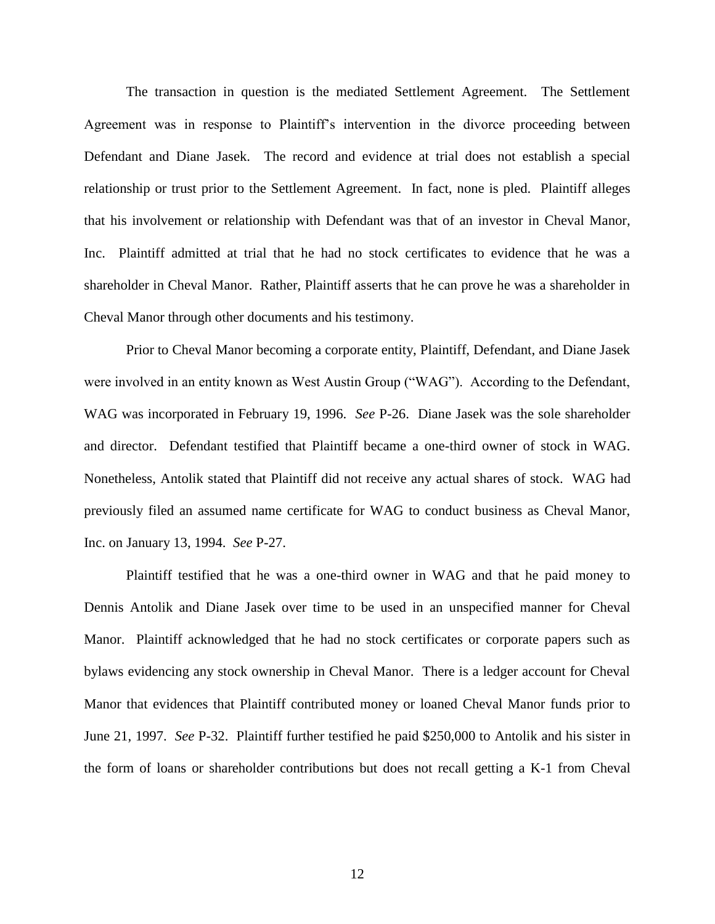The transaction in question is the mediated Settlement Agreement. The Settlement Agreement was in response to Plaintiff's intervention in the divorce proceeding between Defendant and Diane Jasek. The record and evidence at trial does not establish a special relationship or trust prior to the Settlement Agreement. In fact, none is pled. Plaintiff alleges that his involvement or relationship with Defendant was that of an investor in Cheval Manor, Inc. Plaintiff admitted at trial that he had no stock certificates to evidence that he was a shareholder in Cheval Manor. Rather, Plaintiff asserts that he can prove he was a shareholder in Cheval Manor through other documents and his testimony.

Prior to Cheval Manor becoming a corporate entity, Plaintiff, Defendant, and Diane Jasek were involved in an entity known as West Austin Group ("WAG"). According to the Defendant, WAG was incorporated in February 19, 1996. *See* P-26. Diane Jasek was the sole shareholder and director. Defendant testified that Plaintiff became a one-third owner of stock in WAG. Nonetheless, Antolik stated that Plaintiff did not receive any actual shares of stock. WAG had previously filed an assumed name certificate for WAG to conduct business as Cheval Manor, Inc. on January 13, 1994. *See* P-27.

Plaintiff testified that he was a one-third owner in WAG and that he paid money to Dennis Antolik and Diane Jasek over time to be used in an unspecified manner for Cheval Manor. Plaintiff acknowledged that he had no stock certificates or corporate papers such as bylaws evidencing any stock ownership in Cheval Manor. There is a ledger account for Cheval Manor that evidences that Plaintiff contributed money or loaned Cheval Manor funds prior to June 21, 1997. *See* P-32. Plaintiff further testified he paid \$250,000 to Antolik and his sister in the form of loans or shareholder contributions but does not recall getting a K-1 from Cheval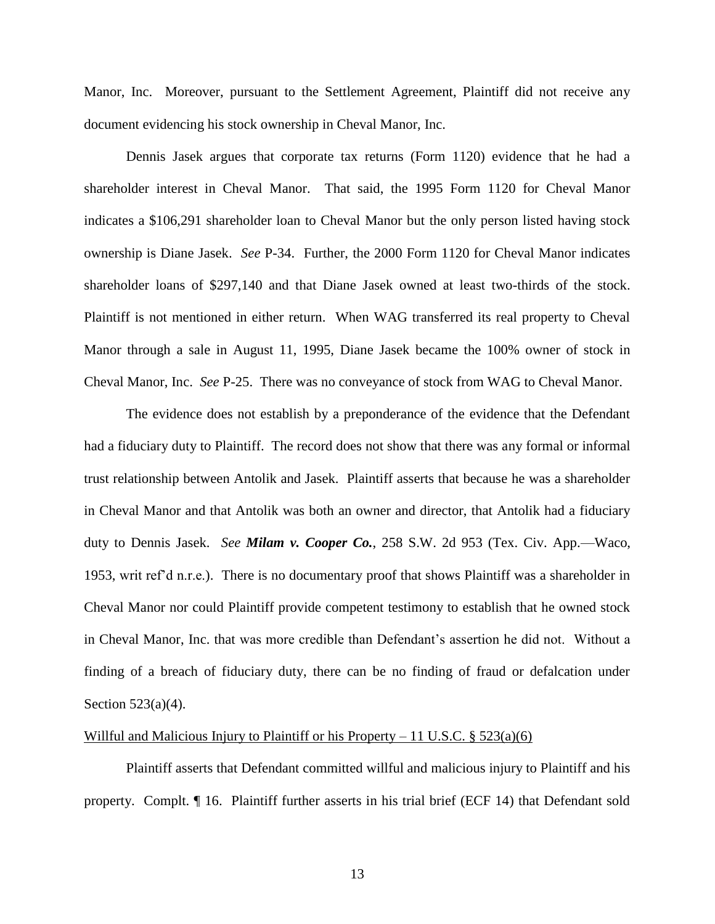Manor, Inc. Moreover, pursuant to the Settlement Agreement, Plaintiff did not receive any document evidencing his stock ownership in Cheval Manor, Inc.

Dennis Jasek argues that corporate tax returns (Form 1120) evidence that he had a shareholder interest in Cheval Manor. That said, the 1995 Form 1120 for Cheval Manor indicates a \$106,291 shareholder loan to Cheval Manor but the only person listed having stock ownership is Diane Jasek. *See* P-34. Further, the 2000 Form 1120 for Cheval Manor indicates shareholder loans of \$297,140 and that Diane Jasek owned at least two-thirds of the stock. Plaintiff is not mentioned in either return. When WAG transferred its real property to Cheval Manor through a sale in August 11, 1995, Diane Jasek became the 100% owner of stock in Cheval Manor, Inc. *See* P-25. There was no conveyance of stock from WAG to Cheval Manor.

The evidence does not establish by a preponderance of the evidence that the Defendant had a fiduciary duty to Plaintiff. The record does not show that there was any formal or informal trust relationship between Antolik and Jasek. Plaintiff asserts that because he was a shareholder in Cheval Manor and that Antolik was both an owner and director, that Antolik had a fiduciary duty to Dennis Jasek. *See Milam v. Cooper Co.*, 258 S.W. 2d 953 (Tex. Civ. App.—Waco, 1953, writ ref'd n.r.e.). There is no documentary proof that shows Plaintiff was a shareholder in Cheval Manor nor could Plaintiff provide competent testimony to establish that he owned stock in Cheval Manor, Inc. that was more credible than Defendant's assertion he did not. Without a finding of a breach of fiduciary duty, there can be no finding of fraud or defalcation under Section 523(a)(4).

### Willful and Malicious Injury to Plaintiff or his Property – 11 U.S.C.  $\S 523(a)(6)$

Plaintiff asserts that Defendant committed willful and malicious injury to Plaintiff and his property. Complt. ¶ 16. Plaintiff further asserts in his trial brief (ECF 14) that Defendant sold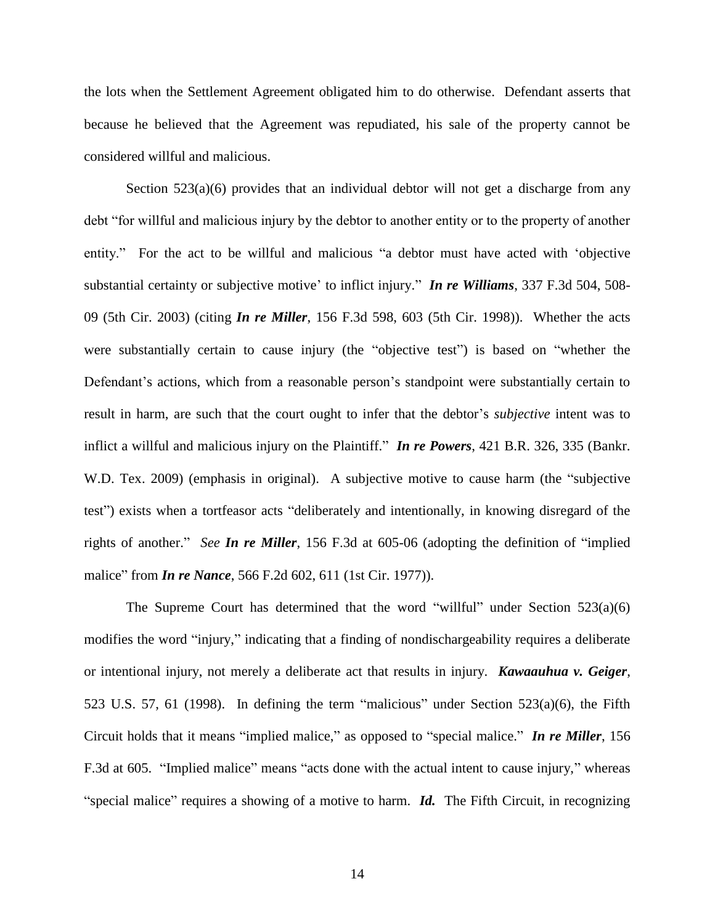the lots when the Settlement Agreement obligated him to do otherwise. Defendant asserts that because he believed that the Agreement was repudiated, his sale of the property cannot be considered willful and malicious.

Section  $523(a)(6)$  provides that an individual debtor will not get a discharge from any debt "for willful and malicious injury by the debtor to another entity or to the property of another entity." For the act to be willful and malicious "a debtor must have acted with 'objective substantial certainty or subjective motive' to inflict injury." *In re Williams*, 337 F.3d 504, 508- 09 (5th Cir. 2003) (citing *In re Miller*, 156 F.3d 598, 603 (5th Cir. 1998)). Whether the acts were substantially certain to cause injury (the "objective test") is based on "whether the Defendant's actions, which from a reasonable person's standpoint were substantially certain to result in harm, are such that the court ought to infer that the debtor's *subjective* intent was to inflict a willful and malicious injury on the Plaintiff." *In re Powers*, 421 B.R. 326, 335 (Bankr. W.D. Tex. 2009) (emphasis in original). A subjective motive to cause harm (the "subjective test") exists when a tortfeasor acts "deliberately and intentionally, in knowing disregard of the rights of another." *See In re Miller*, 156 F.3d at 605-06 (adopting the definition of "implied malice" from *In re Nance*, 566 F.2d 602, 611 (1st Cir. 1977)).

The Supreme Court has determined that the word "willful" under Section  $523(a)(6)$ modifies the word "injury," indicating that a finding of nondischargeability requires a deliberate or intentional injury, not merely a deliberate act that results in injury. *Kawaauhua v. Geiger*, 523 U.S. 57, 61 (1998). In defining the term "malicious" under Section 523(a)(6), the Fifth Circuit holds that it means "implied malice," as opposed to "special malice." *In re Miller*, 156 F.3d at 605. "Implied malice" means "acts done with the actual intent to cause injury," whereas "special malice" requires a showing of a motive to harm. *Id.* The Fifth Circuit, in recognizing